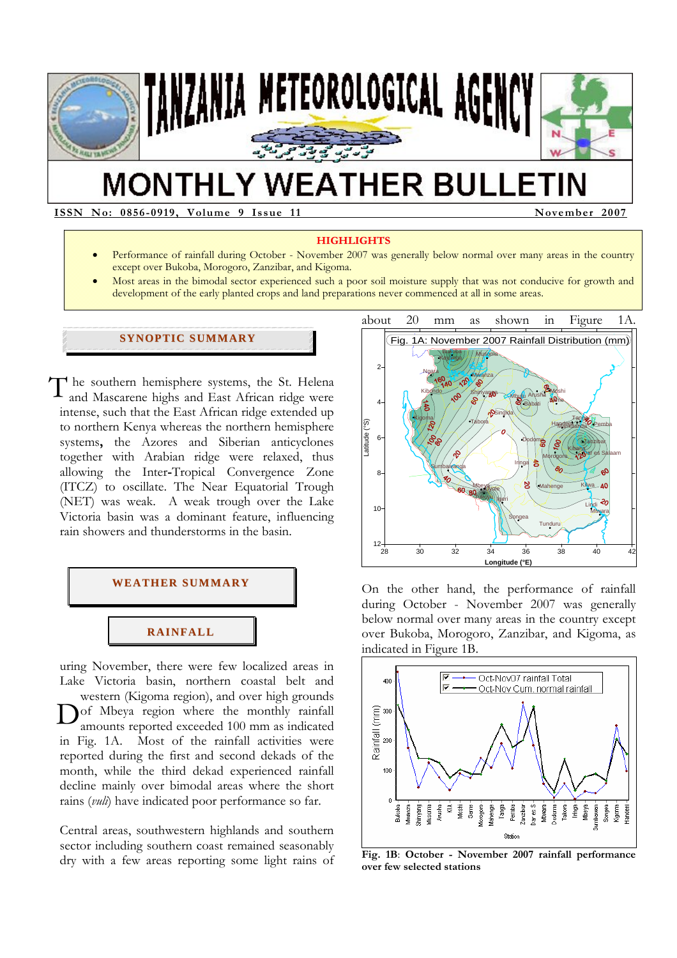

# **MONTHLY WEATHER BULLETIN**

**ISSN No: 0856-0919, Volume 9 Issue 11 November 2007** 

#### **HIGHLIGHTS**

- Performance of rainfall during October November 2007 was generally below normal over many areas in the country except over Bukoba, Morogoro, Zanzibar, and Kigoma.
- Most areas in the bimodal sector experienced such a poor soil moisture supply that was not conducive for growth and development of the early planted crops and land preparations never commenced at all in some areas.

#### **SYNOPTIC SUMMARY**

The southern hemisphere systems, the St. Helena<br>and Mascarene highs and East African ridge were and Mascarene highs and East African ridge were intense, such that the East African ridge extended up to northern Kenya whereas the northern hemisphere systems**,** the Azores and Siberian anticyclones together with Arabian ridge were relaxed, thus allowing the Inter**-**Tropical Convergence Zone (ITCZ) to oscillate. The Near Equatorial Trough (NET) was weak. A weak trough over the Lake Victoria basin was a dominant feature, influencing rain showers and thunderstorms in the basin.



uring November, there were few localized areas in Lake Victoria basin, northern coastal belt and western (Kigoma region), and over high grounds Dof Mbeya region where the monthly rainfall<br>amounts reported exceeded 100 mm as indicated amounts reported exceeded 100 mm as indicated in Fig. 1A. Most of the rainfall activities were reported during the first and second dekads of the month, while the third dekad experienced rainfall decline mainly over bimodal areas where the short rains (*vuli*) have indicated poor performance so far.

Central areas, southwestern highlands and southern sector including southern coast remained seasonably dry with a few areas reporting some light rains of



On the other hand, the performance of rainfall during October - November 2007 was generally below normal over many areas in the country except over Bukoba, Morogoro, Zanzibar, and Kigoma, as indicated in Figure 1B.



**Fig. 1B**: **October - November 2007 rainfall performance over few selected stations**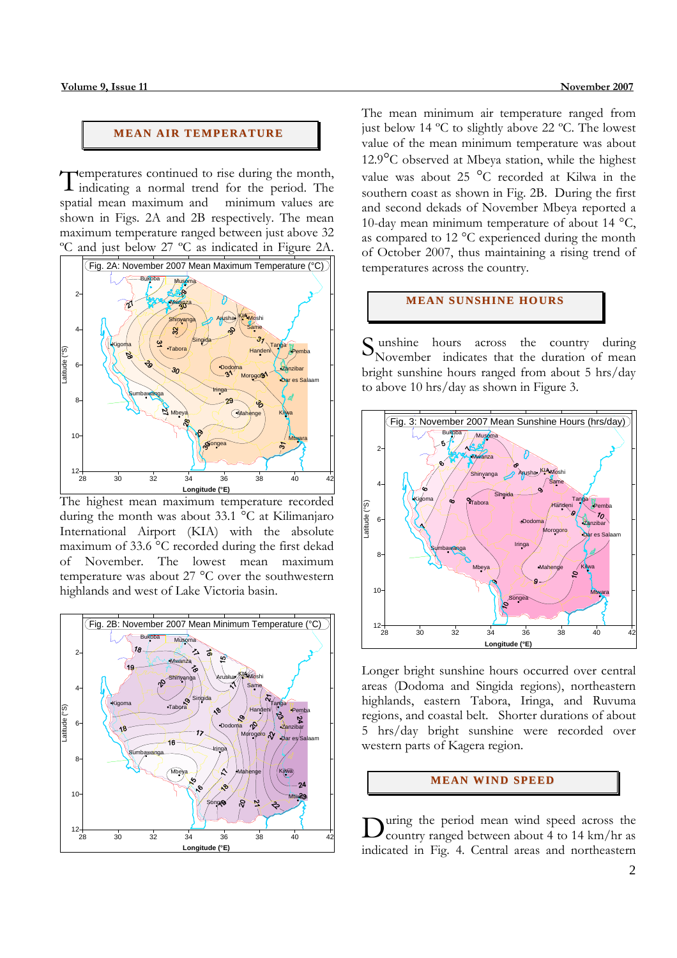### **MEAN AIR TEMPERATURE**

Temperatures continued to rise during the month,<br>Indicating a normal trend for the period. The indicating a normal trend for the period. The spatial mean maximum and minimum values are shown in Figs. 2A and 2B respectively. The mean maximum temperature ranged between just above 32 ºC and just below 27 ºC as indicated in Figure 2A.



The highest mean maximum temperature recorded during the month was about 33.1 °C at Kilimanjaro International Airport (KIA) with the absolute maximum of 33.6 °C recorded during the first dekad of November. The lowest mean maximum temperature was about 27 °C over the southwestern highlands and west of Lake Victoria basin.



The mean minimum air temperature ranged from just below 14 ºC to slightly above 22 ºC. The lowest value of the mean minimum temperature was about 12.9°C observed at Mbeya station, while the highest value was about 25 °C recorded at Kilwa in the southern coast as shown in Fig. 2B. During the first and second dekads of November Mbeya reported a 10-day mean minimum temperature of about 14 °C, as compared to 12 °C experienced during the month of October 2007, thus maintaining a rising trend of temperatures across the country.

#### **MEAN SUNSHINE HOURS**

 unshine hours across the country during Sunshine hours across the country during<br>November indicates that the duration of mean bright sunshine hours ranged from about 5 hrs/day to above 10 hrs/day as shown in Figure 3.



Longer bright sunshine hours occurred over central areas (Dodoma and Singida regions), northeastern highlands, eastern Tabora, Iringa, and Ruvuma regions, and coastal belt. Shorter durations of about 5 hrs/day bright sunshine were recorded over western parts of Kagera region.

## **MEAN WIND SPEED**

uring the period mean wind speed across the During the period mean wind speed across the country ranged between about 4 to 14 km/hr as indicated in Fig. 4. Central areas and northeastern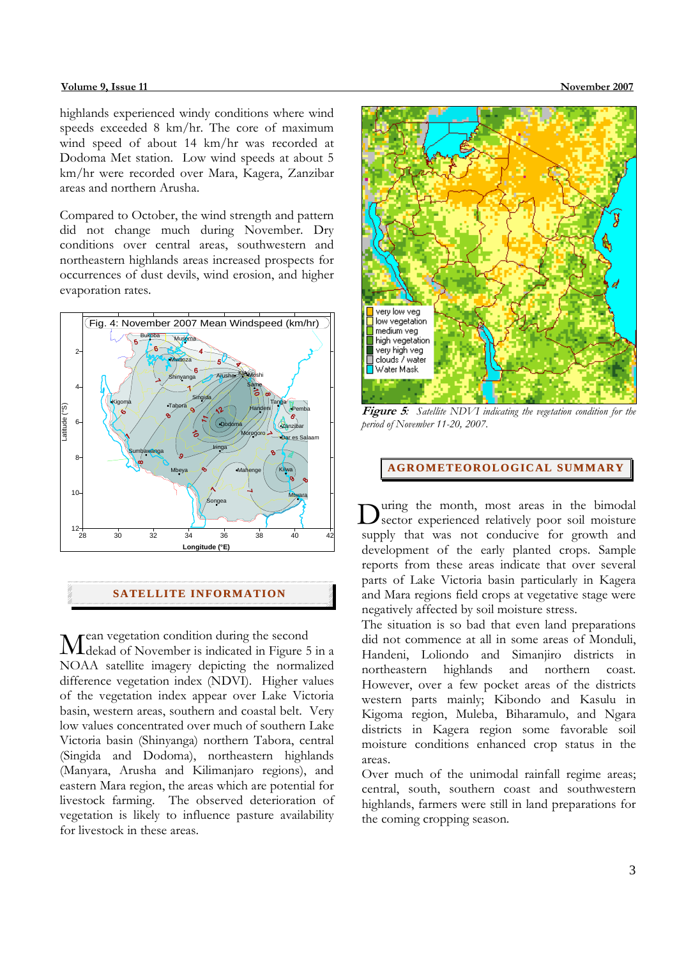highlands experienced windy conditions where wind speeds exceeded 8 km/hr. The core of maximum wind speed of about 14 km/hr was recorded at Dodoma Met station. Low wind speeds at about 5 km/hr were recorded over Mara, Kagera, Zanzibar areas and northern Arusha.

Compared to October, the wind strength and pattern did not change much during November. Dry conditions over central areas, southwestern and northeastern highlands areas increased prospects for occurrences of dust devils, wind erosion, and higher evaporation rates.



## **SATELLITE I NFORMATI ON**

ean vegetation condition during the second Mean vegetation condition during the second<br>Meekad of November is indicated in Figure 5 in a NOAA satellite imagery depicting the normalized difference vegetation index (NDVI). Higher values of the vegetation index appear over Lake Victoria basin, western areas, southern and coastal belt. Very low values concentrated over much of southern Lake Victoria basin (Shinyanga) northern Tabora, central (Singida and Dodoma), northeastern highlands (Manyara, Arusha and Kilimanjaro regions), and eastern Mara region, the areas which are potential for livestock farming. The observed deterioration of vegetation is likely to influence pasture availability for livestock in these areas.



**Figure 5***: Satellite NDVI indicating the vegetation condition for the period of November 11-20, 2007.* 

**AGROMETEOROLOGICAL SUMMARY**

uring the month, most areas in the bimodal During the month, most areas in the bimodal sector experienced relatively poor soil moisture supply that was not conducive for growth and development of the early planted crops. Sample reports from these areas indicate that over several parts of Lake Victoria basin particularly in Kagera and Mara regions field crops at vegetative stage were negatively affected by soil moisture stress.

The situation is so bad that even land preparations did not commence at all in some areas of Monduli, Handeni, Loliondo and Simanjiro districts in northeastern highlands and northern coast. However, over a few pocket areas of the districts western parts mainly; Kibondo and Kasulu in Kigoma region, Muleba, Biharamulo, and Ngara districts in Kagera region some favorable soil moisture conditions enhanced crop status in the areas.

Over much of the unimodal rainfall regime areas; central, south, southern coast and southwestern highlands, farmers were still in land preparations for the coming cropping season.